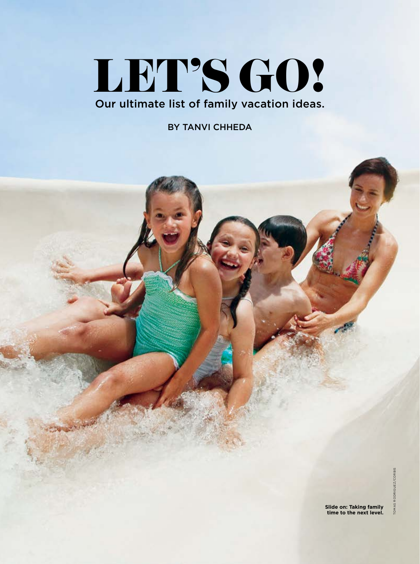# LET'S GO! Our ultimate list of family vacation ideas.

BY TANVI CHHEDA

**TOMAS RODRIGUEZ/CORBIS** TOMAS RODRIGUEZ/CORBIS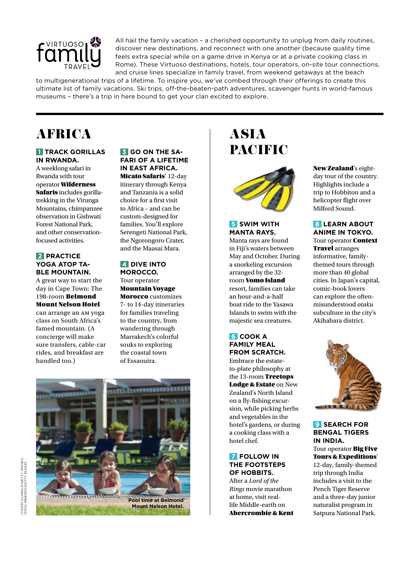

All hail the family vacation – a cherished opportunity to unplug from daily routines, discover new destinations, and reconnect with one another (because quality time feels extra special while on a game drive in Kenya or at a private cooking class in Rome). These Virtuoso destinations, hotels, tour operators, on-site tour connections, and cruise lines specialize in family travel, from weekend getaways at the beach

to multigenerational trips of a lifetime. To inspire you, we've combed through their offerings to create this ultimate list of family vacations. Ski trips, off-the-beaten-path adventures, scavenger hunts in world-famous museums – there's a trip in here bound to get your clan excited to explore.

# **AFRICA**

#### **1 TRACK GORILLAS IN RWANDA.**

A weeklong safari in Rwanda with tour operator Wilderness Safaris includes gorillatrekking in the Virunga Mountains, chimpanzee observation in Gishwati Forest National Park, and other conservationfocused activities.

# **2** PRACTICE **YOGA ATOP TA-BLE MOUNTAIN.**

A great way to start the day in Cape Town: The 198-room Belmond Mount Nelson Hotel can arrange an am yoga

class on South Africa's famed mountain. (A concierge will make sure transfers, cable-car rides, and breakfast are handled too.)

#### **3 GO ON THE SA-FARI OF A LIFETIME IN EAST AFRICA.**

Micato Safaris' 12-day itinerary through Kenya and Tanzania is a solid choice for a first visit to Africa – and can be custom-designed for families. You'll explore Serengeti National Park, the Ngorongoro Crater, and the Maasai Mara.

### **4 DIVE INTO MOROCCO.**  Tour operator

Mountain Voyage Morocco customizes 7- to 14-day itineraries for families traveling to the country, from wandering through Marrakech's colorful souks to exploring the coastal town of Essaouira.



# ASIA PACIFIC



# **5** SWIM WITH **MANTA RAYS.**

Manta rays are found in Fiji's waters between May and October. During a snorkeling excursion arranged by the 32 room Vomo Island resort, families can take an hour-and-a-half boat ride to the Yasawa Islands to swim with the majestic sea creatures.

# **6 COOK A FAMILY MEAL FROM SCRATCH.**

Embrace the estateto-plate philosophy at the 13-room **Treetops** Lodge & Estate on New Zealand's North Island on a fly-fishing excursion, while picking herbs and vegetables in the hotel's gardens, or during a cooking class with a hotel chef.

# **7 FOLLOW IN THE FOOTSTEPS OF HOBBITS.**

After a *Lord of the Rings* movie marathon at home, visit reallife Middle-earth on Abercrombie & Kent New Zealand's eightday tour of the country. Highlights include a trip to Hobbiton and a helicopter flight over Milford Sound.

### **8 LEARN ABOUT ANIME IN TOKYO.**

Tour operator Context **Travel** arranges informative, familythemed tours through more than 40 global cities. In Japan's capital, comic-book lovers can explore the oftenmisunderstood *otaku* subculture in the city's Akihabara district.



### **9 SEARCH FOR BENGAL TIGERS IN INDIA.**

Tour operator Big Five Tours & Expeditions' 12-day, family-themed trip through India includes a visit to the Pench Tiger Reserve and a three-day junior naturalist program in Satpura National Park.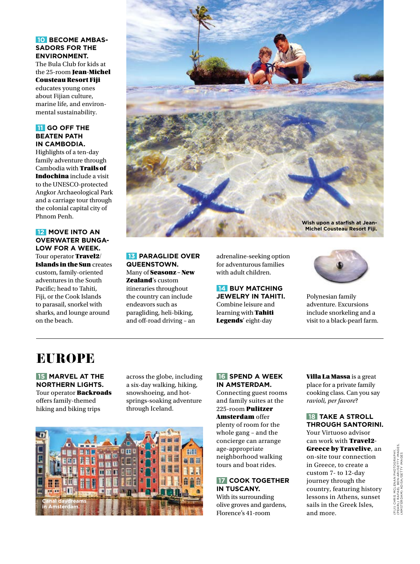# **10 BECOME AMBAS-SADORS FOR THE ENVIRONMENT.**

The Bula Club for kids at the 25-room Jean-Michel Cousteau Resort Fiji educates young ones about Fijian culture, marine life, and environmental sustainability.

# **11 GO OFF THE BEATEN PATH IN CAMBODIA.**

Highlights of a ten-day family adventure through Cambodia with Trails of Indochina include a visit to the UNESCO-protected Angkor Archaeological Park and a carriage tour through the colonial capital city of Phnom Penh.

**12 MOVE INTO AN OVERWATER BUNGA-LOW FOR A WEEK.** Tour operator Travel<sub>2</sub>/ Islands in the Sun creates custom, family-oriented adventures in the South Pacific; head to Tahiti, Fiji, or the Cook Islands to parasail, snorkel with sharks, and lounge around on the beach.



# **13 PARAGLIDE OVER QUEENSTOWN.**  Many of Seasonz – New

Zealand's custom itineraries throughout the country can include endeavors such as paragliding, heli-biking, and off-road driving – an

adrenaline-seeking option for adventurous families with adult children.

# **14 BUY MATCHING JEWELRY IN TAHITI.**  Combine leisure and learning with **Tahiti** Legends' eight-day



Polynesian family adventure. Excursions include snorkeling and a visit to a black-pearl farm.

# EUROPE

 **15 MARVEL AT THE NORTHERN LIGHTS.**  Tour operator **Backroads** offers family-themed hiking and biking trips

across the globe, including a six-day walking, hiking, snowshoeing, and hotsprings-soaking adventure through Iceland.



# **16 SPEND A WEEK IN AMSTERDAM.**

Connecting guest rooms and family suites at the 225-room Pulitzer Amsterdam offer plenty of room for the whole gang – and the concierge can arrange age-appropriate neighborhood walking tours and boat rides.

# **17 COOK TOGETHER IN TUSCANY.**

With its surrounding olive groves and gardens, Florence's 41-room

Villa La Massa is a great place for a private family cooking class. Can you say *ravioli, per favore*?

# **18 TAKE A STROLL THROUGH SANTORINI.**

Your Virtuoso advisor can work with Travel2- Greece by Travelive, an on-site tour connection in Greece, to create a custom 7- to 12-day journey through the country, featuring history lessons in Athens, sunset sails in the Greek Isles, and more.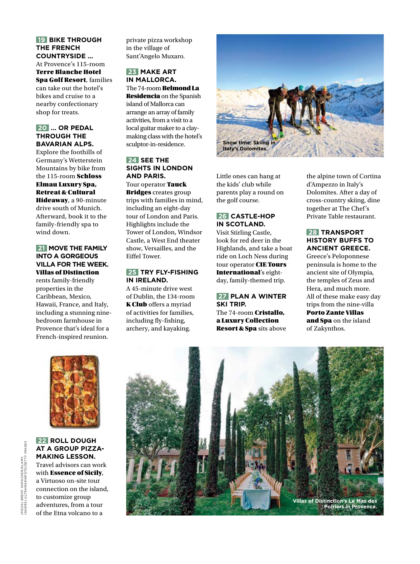# **19 BIKE THROUGH THE FRENCH COUNTRYSIDE …**

At Provence's 115-room Terre Blanche Hotel Spa Golf Resort, families can take out the hotel's bikes and cruise to a nearby confectionary shop for treats.

#### **20 … OR PEDAL THROUGH THE BAVARIAN ALPS.**

Explore the foothills of Germany's Wetterstein Mountains by bike from the 115-room Schloss Elmau Luxury Spa, Retreat & Cultural Hideaway, a 90-minute

drive south of Munich. Afterward, book it to the family-friendly spa to wind down.

#### **21 MOVE THE FAMILY INTO A GORGEOUS VILLA FOR THE WEEK.**  Villas of Distinction

rents family-friendly properties in the Caribbean, Mexico, Hawaii, France, and Italy, including a stunning ninebedroom farmhouse in Provence that's ideal for a French-inspired reunion.

private pizza workshop in the village of Sant'Angelo Muxaro.

# **23 MAKE ART IN MALLORCA.**

The 74-room Belmond La Residencia on the Spanish island of Mallorca can arrange an array of family activities, from a visit to a local guitar maker to a claymaking class with the hotel's sculptor-in-residence.

### **24 SEE THE SIGHTS IN LONDON AND PARIS.**

Tour operator Tauck Bridges creates group trips with families in mind, including an eight-day tour of London and Paris. Highlights include the Tower of London, Windsor Castle, a West End theater show, Versailles, and the Eiffel Tower.

#### **25 TRY FLY-FISHING IN IRELAND.**

A 45-minute drive west of Dublin, the 134-room K Club offers a myriad of activities for families, including fly-fishing, archery, and kayaking.



Little ones can hang at the kids' club while parents play a round on the golf course.

# **26 CASTLE-HOP IN SCOTLAND.**

Visit Stirling Castle, look for red deer in the Highlands, and take a boat ride on Loch Ness during tour operator CIE Tours International's eightday, family-themed trip.

# **27 PLAN A WINTER SKI TRIP.**

The 74-room Cristallo, a Luxury Collection Resort & Spa sits above the alpine town of Cortina d'Ampezzo in Italy's Dolomites. After a day of cross-country skiing, dine together at The Chef's Private Table restaurant.

# **28 TRANSPORT HISTORY BUFFS TO ANCIENT GREECE.**

Greece's Peloponnese peninsula is home to the ancient site of Olympia, the temples of Zeus and Hera, and much more. All of these make easy day trips from the nine-villa Porto Zante Villas and Spa on the island of Zakynthos.



### **22 ROLL DOUGH AT A GROUP PIZZA-MAKING LESSON.** Travel advisors can work with Essence of Sicily, a Virtuoso on-site tour connection on the island, to customize group adventures, from a tour of the Etna volcano to a

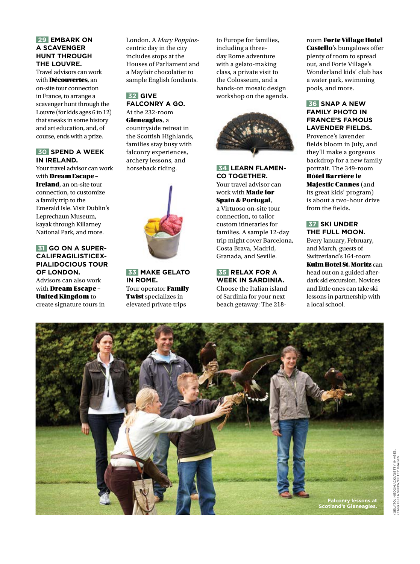# **29 EMBARK ON A SCAVENGER HUNT THROUGH THE LOUVRE.**

Travel advisors can work with **Découvertes**, an on-site tour connection in France, to arrange a scavenger hunt through the Louvre (for kids ages 6 to 12) that sneaks in some history and art education, and, of course, ends with a prize.

#### **30 SPEND A WEEK IN IRELAND.**

Your travel advisor can work with Dream Escape – Ireland, an on-site tour connection, to customize a family trip to the Emerald Isle. Visit Dublin's Leprechaun Museum, kayak through Killarney National Park, and more.

#### **31 GO ON A SUPER-CALIFRAGILISTICEX-PIALIDOCIOUS TOUR OF LONDON.**  Advisors can also work with **Dream Escape** -

United Kingdom to create signature tours in London. A *Mary Poppins*centric day in the city includes stops at the Houses of Parliament and a Mayfair chocolatier to sample English fondants.

### **32 GIVE FALCONRY A GO.**

At the 232-room Gleneagles, a countryside retreat in the Scottish Highlands, families stay busy with falconry experiences, archery lessons, and horseback riding.



 **33 MAKE GELATO IN ROME.**  Tour operator Family Twist specializes in elevated private trips

to Europe for families, including a threeday Rome adventure with a gelato-making class, a private visit to the Colosseum, and a hands-on mosaic design workshop on the agenda.



 **34 LEARN FLAMEN-CO TOGETHER.**  Your travel advisor can work with Made for Spain & Portugal, a Virtuoso on-site tour connection, to tailor custom itineraries for families. A sample 12-day trip might cover Barcelona, Costa Brava, Madrid, Granada, and Seville.

# **35 RELAX FOR A WEEK IN SARDINIA.**

Choose the Italian island of Sardinia for your next beach getaway: The 218room Forte Village Hotel Castello's bungalows offer plenty of room to spread out, and Forte Village's Wonderland kids' club has a water park, swimming pools, and more.

### **36 SNAP A NEW FAMILY PHOTO IN FRANCE'S FAMOUS LAVENDER FIELDS.**

Provence's lavender fields bloom in July, and they'll make a gorgeous backdrop for a new family portrait. The 349-room Hôtel Barrière le Majestic Cannes (and its great kids' program) is about a two-hour drive from the fields.

# **37 SKI UNDER THE FULL MOON.**

Every January, February, and March, guests of Switzerland's 164-room Kulm Hotel St. Moritz can head out on a guided afterdark ski excursion. Novices and little ones can take ski lessons in partnership with a local school.

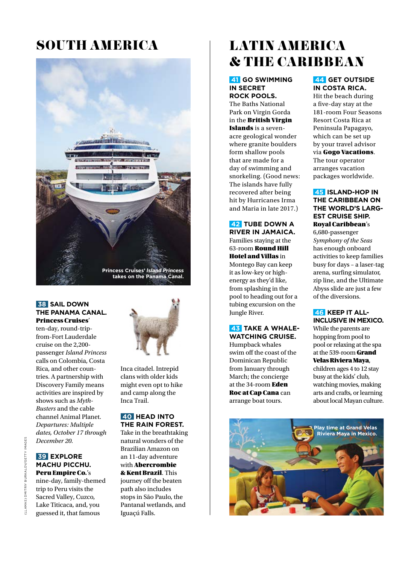# SOUTH AMERICA



#### **38 SAIL DOWN THE PANAMA CANAL.**  Princess Cruises'

ten-day, round-tripfrom-Fort Lauderdale cruise on the 2,200 passenger *Island Princess* calls on Colombia, Costa Rica, and other countries. A partnership with Discovery Family means activities are inspired by shows such as *Myth-Busters* and the cable channel Animal Planet. *Departures: Multiple dates, October 17 through December 20.*

# **39 EXPLORE MACHU PICCHU.**  Peru Empire Co.'s

nine-day, family-themed trip to Peru visits the Sacred Valley, Cuzco, Lake Titicaca, and, you guessed it, that famous



Inca citadel. Intrepid clans with older kids might even opt to hike and camp along the Inca Trail.

#### **40 HEAD INTO THE RAIN FOREST.**

Take in the breathtaking natural wonders of the Brazilian Amazon on an 11-day adventure with Abercrombie & Kent Brazil. This journey off the beaten path also includes

stops in São Paulo, the Pantanal wetlands, and Iguaçú Falls.

# LATIN AMERICA & THE CARIBBEAN

# **41 GO SWIMMING IN SECRET ROCK POOLS.**

The Baths National Park on Virgin Gorda in the British Virgin Islands is a sevenacre geological wonder where granite boulders form shallow pools that are made for a day of swimming and snorkeling. (Good news: The islands have fully recovered after being hit by Hurricanes Irma and Maria in late 2017.)

 **42 TUBE DOWN A RIVER IN JAMAICA.**  Families staying at the 63-room Round Hill Hotel and Villas in Montego Bay can keep it as low-key or highenergy as they'd like, from splashing in the pool to heading out for a tubing excursion on the Jungle River.

#### **43 TAKE A WHALE-WATCHING CRUISE.**

Humpback whales swim off the coast of the Dominican Republic from January through March; the concierge at the 34-room Eden Roc at Cap Cana can arrange boat tours.

# **44 GET OUTSIDE IN COSTA RICA.**

Hit the beach during a five-day stay at the 181-room Four Seasons Resort Costa Rica at Peninsula Papagayo, which can be set up by your travel advisor via Gogo Vacations. The tour operator arranges vacation packages worldwide.

# **45 ISLAND-HOP IN THE CARIBBEAN ON THE WORLD'S LARG-EST CRUISE SHIP.** Royal Caribbean's

6,680-passenger *Symphony of the Seas* has enough onboard activities to keep families busy for days – a laser-tag arena, surfing simulator, zip line, and the Ultimate Abyss slide are just a few of the diversions.

# **46 KEEP IT ALL-INCLUSIVE IN MEXICO.**  While the parents are hopping from pool to

pool or relaxing at the spa at the 539-room Grand Velas Riviera Maya, children ages 4 to 12 stay busy at the kids' club,

watching movies, making arts and crafts, or learning about local Mayan culture.

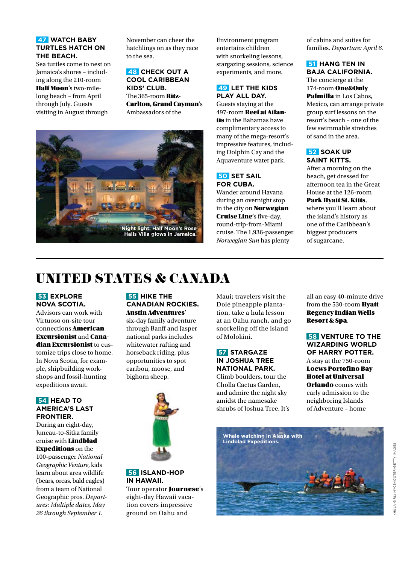# **47 WATCH BABY TURTLES HATCH ON THE BEACH.**

Sea turtles come to nest on Jamaica's shores – including along the 210-room Half Moon's two-milelong beach – from April through July. Guests visiting in August through

November can cheer the hatchlings on as they race to the sea.

 **48 CHECK OUT A COOL CARIBBEAN KIDS' CLUB.**  The 365-room Ritz-Carlton, Grand Cayman's Ambassadors of the



Environment program entertains children with snorkeling lessons, stargazing sessions, science experiments, and more.

# **49 LET THE KIDS PLAY ALL DAY.**

Guests staying at the 497-room Reef at Atlantis in the Bahamas have complimentary access to many of the mega-resort's impressive features, including Dolphin Cay and the Aquaventure water park.

# **50 SET SAIL FOR CUBA.**

Wander around Havana during an overnight stop in the city on **Norwegian** Cruise Line's five-day, round-trip-from-Miami cruise. The 1,936-passenger *Norwegian Sun* has plenty

of cabins and suites for families. *Departure: April 6.* 

### **51 HANG TEN IN BAJA CALIFORNIA.**

The concierge at the 174-room One&Only Palmilla in Los Cabos, Mexico, can arrange private group surf lessons on the resort's beach – one of the few swimmable stretches of sand in the area.

### **52 SOAK UP SAINT KITTS.**

After a morning on the beach, get dressed for afternoon tea in the Great House at the 126-room Park Hyatt St. Kitts, where you'll learn about the island's history as one of the Caribbean's biggest producers of sugarcane.

# UNITED STATES & CANADA

#### **53 EXPLORE NOVA SCOTIA.**

Advisors can work with Virtuoso on-site tour connections American Excursionist and Canadian Excursionist to customize trips close to home. In Nova Scotia, for example, shipbuilding workshops and fossil-hunting expeditions await.

# **54 HEAD TO AMERICA'S LAST FRONTIER.**

During an eight-day, Juneau-to-Sitka family cruise with Lindblad Expeditions on the 100-passenger *National Geographic Venture*, kids learn about area wildlife (bears, orcas, bald eagles) from a team of National Geographic pros. *Departures: Multiple dates, May 26 through September 1.*

#### **55 HIKE THE CANADIAN ROCKIES.**  Austin Adventures'

six-day family adventure through Banff and Jasper national parks includes whitewater rafting and horseback riding, plus opportunities to spot caribou, moose, and bighorn sheep.

**56 ISLAND-HOP IN HAWAII.** 

Tour operator **Journese's** eight-day Hawaii vacation covers impressive ground on Oahu and

Maui; travelers visit the Dole pineapple plantation, take a hula lesson at an Oahu ranch, and go snorkeling off the island of Molokini.

# **57 STARGAZE IN JOSHUA TREE NATIONAL PARK.**

Climb boulders, tour the Cholla Cactus Garden, and admire the night sky amidst the namesake shrubs of Joshua Tree. It's all an easy 40-minute drive from the 530-room **Hyatt** Regency Indian Wells Resort & Spa.

#### **58 VENTURE TO THE WIZARDING WORLD OF HARRY POTTER.**  A stay at the 750-room Loews Portofino Bay Hotel at Universal **Orlando** comes with early admission to the neighboring Islands of Adventure – home



GIRL) NYCSHOOTER/GETTY IMAGES (HULA GIRL) NYCSHOOTER/GETTY IMAGES